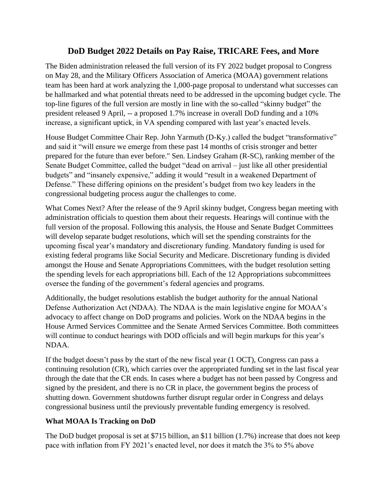## **DoD Budget 2022 Details on Pay Raise, TRICARE Fees, and More**

The Biden administration released the full version of its FY 2022 budget proposal to Congress on May 28, and the Military Officers Association of America (MOAA) government relations team has been hard at work analyzing the 1,000-page proposal to understand what successes can be hallmarked and what potential threats need to be addressed in the upcoming budget cycle. The top-line figures of the full version are mostly in line with the so-called "skinny budget" the president released 9 April, -- a proposed 1.7% increase in overall DoD funding and a 10% increase, a significant uptick, in VA spending compared with last year's enacted levels.

House Budget Committee Chair Rep. John Yarmuth (D-Ky.) called the budget "transformative" and said it "will ensure we emerge from these past 14 months of crisis stronger and better prepared for the future than ever before." Sen. Lindsey Graham (R-SC), ranking member of the Senate Budget Committee, called the budget "dead on arrival – just like all other presidential budgets" and "insanely expensive," adding it would "result in a weakened Department of Defense." These differing opinions on the president's budget from two key leaders in the congressional budgeting process augur the challenges to come.

What Comes Next? After the release of the 9 April skinny budget, Congress began meeting with administration officials to question them about their requests. Hearings will continue with the full version of the proposal. Following this analysis, the House and Senate Budget Committees will develop separate budget resolutions, which will set the spending constraints for the upcoming fiscal year's mandatory and discretionary funding. Mandatory funding is used for existing federal programs like Social Security and Medicare. Discretionary funding is divided amongst the House and Senate Appropriations Committees, with the budget resolution setting the spending levels for each appropriations bill. Each of the 12 Appropriations subcommittees oversee the funding of the government's federal agencies and programs.

Additionally, the budget resolutions establish the budget authority for the annual National Defense Authorization Act (NDAA). The NDAA is the main legislative engine for MOAA's advocacy to affect change on DoD programs and policies. Work on the NDAA begins in the House Armed Services Committee and the Senate Armed Services Committee. Both committees will continue to conduct hearings with DOD officials and will begin markups for this year's NDAA.

If the budget doesn't pass by the start of the new fiscal year (1 OCT), Congress can pass a continuing resolution (CR), which carries over the appropriated funding set in the last fiscal year through the date that the CR ends. In cases where a budget has not been passed by Congress and signed by the president, and there is no CR in place, the government begins the process of shutting down. Government shutdowns further disrupt regular order in Congress and delays congressional business until the previously preventable funding emergency is resolved.

## **What MOAA Is Tracking on DoD**

The DoD budget proposal is set at \$715 billion, an \$11 billion (1.7%) increase that does not keep pace with inflation from FY 2021's enacted level, nor does it match the 3% to 5% above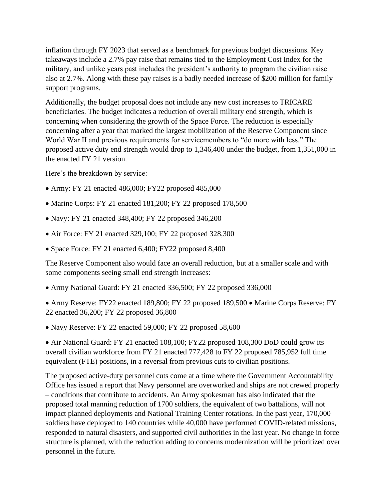inflation through FY 2023 that served as a benchmark for previous budget discussions. Key takeaways include a 2.7% pay raise that remains tied to the Employment Cost Index for the military, and unlike years past includes the president's authority to program the civilian raise also at 2.7%. Along with these pay raises is a badly needed increase of \$200 million for family support programs.

Additionally, the budget proposal does not include any new cost increases to TRICARE beneficiaries. The budget indicates a reduction of overall military end strength, which is concerning when considering the growth of the Space Force. The reduction is especially concerning after a year that marked the largest mobilization of the Reserve Component since World War II and previous requirements for servicemembers to "do more with less." The proposed active duty end strength would drop to 1,346,400 under the budget, from 1,351,000 in the enacted FY 21 version.

Here's the breakdown by service:

- Army: FY 21 enacted 486,000; FY22 proposed 485,000
- Marine Corps: FY 21 enacted 181,200; FY 22 proposed 178,500
- Navy: FY 21 enacted 348,400; FY 22 proposed 346,200
- Air Force: FY 21 enacted 329,100; FY 22 proposed 328,300
- Space Force: FY 21 enacted 6,400; FY22 proposed 8,400

The Reserve Component also would face an overall reduction, but at a smaller scale and with some components seeing small end strength increases:

• Army National Guard: FY 21 enacted 336,500; FY 22 proposed 336,000

• Army Reserve: FY22 enacted 189,800; FY 22 proposed 189,500 • Marine Corps Reserve: FY 22 enacted 36,200; FY 22 proposed 36,800

• Navy Reserve: FY 22 enacted 59,000; FY 22 proposed 58,600

• Air National Guard: FY 21 enacted 108,100; FY22 proposed 108,300 DoD could grow its overall civilian workforce from FY 21 enacted 777,428 to FY 22 proposed 785,952 full time equivalent (FTE) positions, in a reversal from previous cuts to civilian positions.

The proposed active-duty personnel cuts come at a time where the Government Accountability Office has issued a report that Navy personnel are overworked and ships are not crewed properly – conditions that contribute to accidents. An Army spokesman has also indicated that the proposed total manning reduction of 1700 soldiers, the equivalent of two battalions, will not impact planned deployments and National Training Center rotations. In the past year, 170,000 soldiers have deployed to 140 countries while 40,000 have performed COVID-related missions, responded to natural disasters, and supported civil authorities in the last year. No change in force structure is planned, with the reduction adding to concerns modernization will be prioritized over personnel in the future.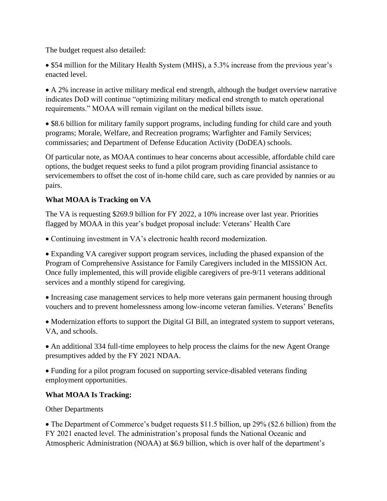The budget request also detailed:

• \$54 million for the Military Health System (MHS), a 5.3% increase from the previous year's enacted level.

• A 2% increase in active military medical end strength, although the budget overview narrative indicates DoD will continue "optimizing military medical end strength to match operational requirements." MOAA will remain vigilant on the medical billets issue.

• \$8.6 billion for military family support programs, including funding for child care and youth programs; Morale, Welfare, and Recreation programs; Warfighter and Family Services; commissaries; and Department of Defense Education Activity (DoDEA) schools.

Of particular note, as MOAA continues to hear concerns about accessible, affordable child care options, the budget request seeks to fund a pilot program providing financial assistance to servicemembers to offset the cost of in-home child care, such as care provided by nannies or au pairs.

## **What MOAA is Tracking on VA**

The VA is requesting \$269.9 billion for FY 2022, a 10% increase over last year. Priorities flagged by MOAA in this year's budget proposal include: Veterans' Health Care

• Continuing investment in VA's electronic health record modernization.

• Expanding VA caregiver support program services, including the phased expansion of the Program of Comprehensive Assistance for Family Caregivers included in the MISSION Act. Once fully implemented, this will provide eligible caregivers of pre-9/11 veterans additional services and a monthly stipend for caregiving.

• Increasing case management services to help more veterans gain permanent housing through vouchers and to prevent homelessness among low-income veteran families. Veterans' Benefits

• Modernization efforts to support the Digital GI Bill, an integrated system to support veterans, VA, and schools.

• An additional 334 full-time employees to help process the claims for the new Agent Orange presumptives added by the FY 2021 NDAA.

• Funding for a pilot program focused on supporting service-disabled veterans finding employment opportunities.

## **What MOAA Is Tracking:**

Other Departments

• The Department of Commerce's budget requests \$11.5 billion, up 29% (\$2.6 billion) from the FY 2021 enacted level. The administration's proposal funds the National Oceanic and Atmospheric Administration (NOAA) at \$6.9 billion, which is over half of the department's